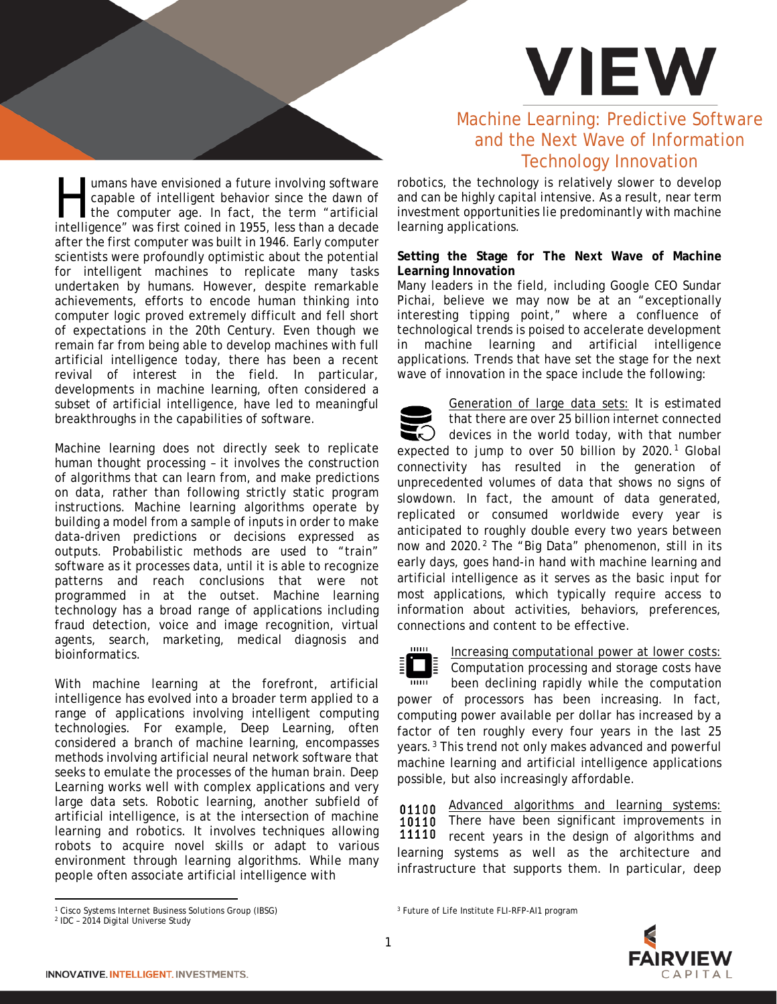

umans have envisioned a future involving software capable of intelligent behavior since the dawn of the computer age. In fact, the term "artificial Imans have envisioned a future involving software capable of intelligent behavior since the dawn of the computer age. In fact, the term "artificial intelligence" was first coined in 1955, less than a decade after the first computer was built in 1946. Early computer scientists were profoundly optimistic about the potential for intelligent machines to replicate many tasks undertaken by humans. However, despite remarkable achievements, efforts to encode human thinking into computer logic proved extremely difficult and fell short of expectations in the 20th Century. Even though we remain far from being able to develop machines with full artificial intelligence today, there has been a recent revival of interest in the field. In particular, developments in machine learning, often considered a subset of artificial intelligence, have led to meaningful breakthroughs in the capabilities of software.

Machine learning does not directly seek to replicate human thought processing – it involves the construction of algorithms that can learn from, and make predictions on data, rather than following strictly static program instructions. Machine learning algorithms operate by building a model from a sample of inputs in order to make data-driven predictions or decisions expressed as outputs. Probabilistic methods are used to "train" software as it processes data, until it is able to recognize patterns and reach conclusions that were not programmed in at the outset. Machine learning technology has a broad range of applications including fraud detection, voice and image recognition, virtual agents, search, marketing, medical diagnosis and bioinformatics.

With machine learning at the forefront, artificial intelligence has evolved into a broader term applied to a range of applications involving intelligent computing technologies. For example, Deep Learning, often considered a branch of machine learning, encompasses methods involving artificial neural network software that seeks to emulate the processes of the human brain. Deep Learning works well with complex applications and very large data sets. Robotic learning, another subfield of artificial intelligence, is at the intersection of machine learning and robotics. It involves techniques allowing robots to acquire novel skills or adapt to various environment through learning algorithms. While many people often associate artificial intelligence with

# Machine Learning: Predictive Software and the Next Wave of Information Technology Innovation

robotics, the technology is relatively slower to develop and can be highly capital intensive. As a result, near term investment opportunities lie predominantly with machine learning applications.

## **Setting the Stage for The Next Wave of Machine Learning Innovation**

Many leaders in the field, including Google CEO Sundar Pichai, believe we may now be at an "exceptionally interesting tipping point," where a confluence of technological trends is poised to accelerate development in machine learning and artificial intelligence applications. Trends that have set the stage for the next wave of innovation in the space include the following:

Generation of large data sets: It is estimated that there are over 25 billion internet connected  $\omega$  devices in the world today, with that number expected to jump to over 50 billion by  $2020.<sup>1</sup>$  $2020.<sup>1</sup>$  $2020.<sup>1</sup>$  Global connectivity has resulted in the generation of unprecedented volumes of data that shows no signs of slowdown. In fact, the amount of data generated, replicated or consumed worldwide every year is anticipated to roughly double every two years between now and [2](#page-0-1)020.<sup>2</sup> The "Big Data" phenomenon, still in its early days, goes hand-in hand with machine learning and artificial intelligence as it serves as the basic input for most applications, which typically require access to information about activities, behaviors, preferences, connections and content to be effective.

шш

Increasing computational power at lower costs: Computation processing and storage costs have

been declining rapidly while the computation power of processors has been increasing. In fact, computing power available per dollar has increased by a factor of ten roughly every four years in the last 25 years.[3](#page-0-0) This trend not only makes advanced and powerful machine learning and artificial intelligence applications possible, but also increasingly affordable.

Advanced algorithms and learning systems: 01100 10110 There have been significant improvements in 11110 recent years in the design of algorithms and learning systems as well as the architecture and infrastructure that supports them. In particular, deep

<sup>3</sup> Future of Life Institute FLI-RFP-AI1 program

l



<sup>1</sup> Cisco Systems Internet Business Solutions Group (IBSG)

<span id="page-0-1"></span><span id="page-0-0"></span><sup>2</sup> IDC – 2014 Digital Universe Study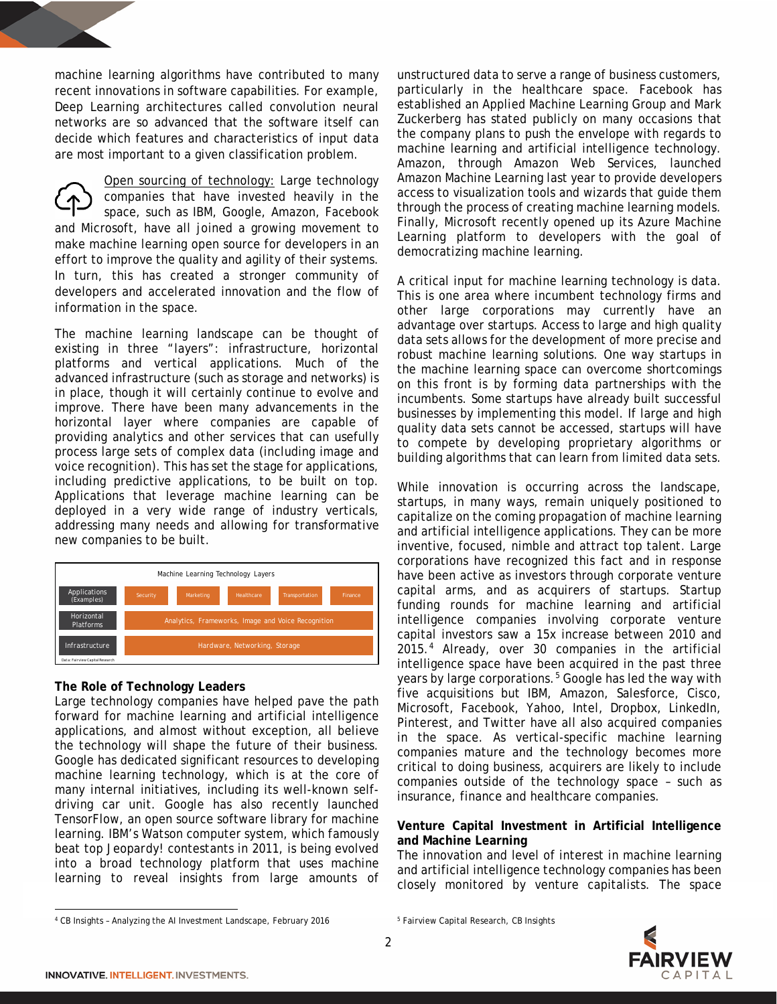machine learning algorithms have contributed to many recent innovations in software capabilities. For example, Deep Learning architectures called convolution neural networks are so advanced that the software itself can decide which features and characteristics of input data are most important to a given classification problem.

Open sourcing of technology: Large technology companies that have invested heavily in the space, such as IBM, Google, Amazon, Facebook and Microsoft, have all joined a growing movement to make machine learning open source for developers in an effort to improve the quality and agility of their systems. In turn, this has created a stronger community of developers and accelerated innovation and the flow of information in the space.

The machine learning landscape can be thought of existing in three "layers": infrastructure, horizontal platforms and vertical applications. Much of the advanced infrastructure (such as storage and networks) is in place, though it will certainly continue to evolve and improve. There have been many advancements in the horizontal layer where companies are capable of providing analytics and other services that can usefully process large sets of complex data (including image and voice recognition). This has set the stage for applications, including predictive applications, to be built on top. Applications that leverage machine learning can be deployed in a very wide range of industry verticals, addressing many needs and allowing for transformative new companies to be built.



### **The Role of Technology Leaders**

Large technology companies have helped pave the path forward for machine learning and artificial intelligence applications, and almost without exception, all believe the technology will shape the future of their business. Google has dedicated significant resources to developing machine learning technology, which is at the core of many internal initiatives, including its well-known selfdriving car unit. Google has also recently launched TensorFlow, an open source software library for machine learning. IBM's Watson computer system, which famously beat top *Jeopardy!* contestants in 2011, is being evolved into a broad technology platform that uses machine learning to reveal insights from large amounts of

unstructured data to serve a range of business customers, particularly in the healthcare space. Facebook has established an Applied Machine Learning Group and Mark Zuckerberg has stated publicly on many occasions that the company plans to push the envelope with regards to machine learning and artificial intelligence technology. Amazon, through Amazon Web Services, launched Amazon Machine Learning last year to provide developers access to visualization tools and wizards that guide them through the process of creating machine learning models. Finally, Microsoft recently opened up its Azure Machine Learning platform to developers with the goal of democratizing machine learning.

A critical input for machine learning technology is data. This is one area where incumbent technology firms and other large corporations may currently have an advantage over startups. Access to large and high quality data sets allows for the development of more precise and robust machine learning solutions. One way startups in the machine learning space can overcome shortcomings on this front is by forming data partnerships with the incumbents. Some startups have already built successful businesses by implementing this model. If large and high quality data sets cannot be accessed, startups will have to compete by developing proprietary algorithms or building algorithms that can learn from limited data sets.

While innovation is occurring across the landscape, startups, in many ways, remain uniquely positioned to capitalize on the coming propagation of machine learning and artificial intelligence applications. They can be more inventive, focused, nimble and attract top talent. Large corporations have recognized this fact and in response have been active as investors through corporate venture capital arms, and as acquirers of startups. Startup funding rounds for machine learning and artificial intelligence companies involving corporate venture capital investors saw a 15x increase between 2010 and 2015.[4](#page-1-0) Already, over 30 companies in the artificial intelligence space have been acquired in the past three years by large corporations.<sup>[5](#page-1-0)</sup> Google has led the way with five acquisitions but IBM, Amazon, Salesforce, Cisco, Microsoft, Facebook, Yahoo, Intel, Dropbox, LinkedIn, Pinterest, and Twitter have all also acquired companies in the space. As vertical-specific machine learning companies mature and the technology becomes more critical to doing business, acquirers are likely to include companies outside of the technology space – such as insurance, finance and healthcare companies.

### **Venture Capital Investment in Artificial Intelligence and Machine Learning**

The innovation and level of interest in machine learning and artificial intelligence technology companies has been closely monitored by venture capitalists. The space



 $\overline{\phantom{a}}$ 

<sup>5</sup> Fairview Capital Research, CB Insights

<span id="page-1-0"></span><sup>4</sup> CB Insights – Analyzing the AI Investment Landscape, February 2016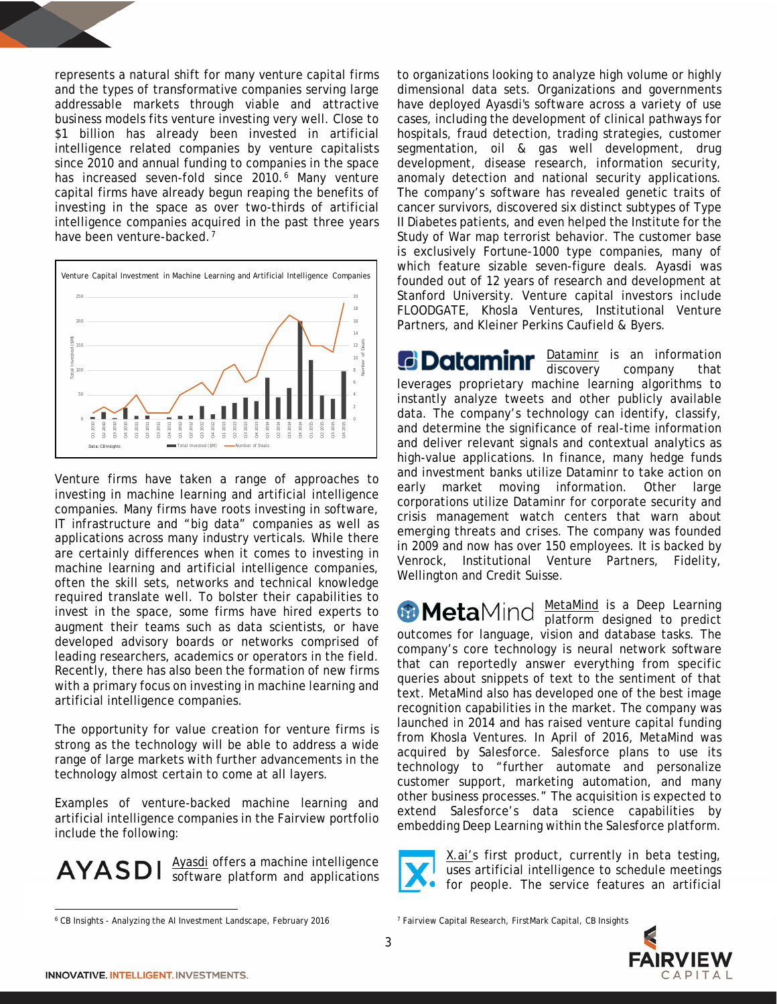represents a natural shift for many venture capital firms and the types of transformative companies serving large addressable markets through viable and attractive business models fits venture investing very well. Close to \$1 billion has already been invested in artificial intelligence related companies by venture capitalists since 2010 and annual funding to companies in the space has increased seven-fold since 2010.<sup>[6](#page-2-0)</sup> Many venture capital firms have already begun reaping the benefits of investing in the space as over two-thirds of artificial intelligence companies acquired in the past three years have been venture-backed.<sup>[7](#page-2-0)</sup>



Venture firms have taken a range of approaches to investing in machine learning and artificial intelligence companies. Many firms have roots investing in software, IT infrastructure and "big data" companies as well as applications across many industry verticals. While there are certainly differences when it comes to investing in machine learning and artificial intelligence companies, often the skill sets, networks and technical knowledge required translate well. To bolster their capabilities to invest in the space, some firms have hired experts to augment their teams such as data scientists, or have developed advisory boards or networks comprised of leading researchers, academics or operators in the field. Recently, there has also been the formation of new firms with a primary focus on investing in machine learning and artificial intelligence companies.

The opportunity for value creation for venture firms is strong as the technology will be able to address a wide range of large markets with further advancements in the technology almost certain to come at all layers.

Examples of venture-backed machine learning and artificial intelligence companies in the Fairview portfolio include the following:

Ayasdi offers a machine intelligence **AYASDI** software platform and applications to organizations looking to analyze high volume or highly dimensional data sets. Organizations and governments have deployed Ayasdi's software across a variety of use cases, including the development of clinical pathways for hospitals, fraud detection, trading strategies, customer segmentation, oil & gas well development, drug development, disease research, information security, anomaly detection and national security applications. The company's software has revealed genetic traits of cancer survivors, discovered six distinct subtypes of Type II Diabetes patients, and even helped the Institute for the Study of War map terrorist behavior. The customer base is exclusively Fortune-1000 type companies, many of which feature sizable seven-figure deals. Ayasdi was founded out of 12 years of research and development at Stanford University. Venture capital investors include FLOODGATE, Khosla Ventures, Institutional Venture Partners, and Kleiner Perkins Caufield & Byers.

Dataminr is an information discovery company that leverages proprietary machine learning algorithms to instantly analyze tweets and other publicly available data. The company's technology can identify, classify, and determine the significance of real-time information and deliver relevant signals and contextual analytics as high-value applications. In finance, many hedge funds and investment banks utilize Dataminr to take action on early market moving information. Other large corporations utilize Dataminr for corporate security and crisis management watch centers that warn about emerging threats and crises. The company was founded in 2009 and now has over 150 employees. It is backed by Venrock, Institutional Venture Partners, Fidelity, Wellington and Credit Suisse.

MetaMind is a Deep Learning platform designed to predict outcomes for language, vision and database tasks. The company's core technology is neural network software that can reportedly answer everything from specific queries about snippets of text to the sentiment of that text. MetaMind also has developed one of the best image recognition capabilities in the market. The company was launched in 2014 and has raised venture capital funding from Khosla Ventures. In April of 2016, MetaMind was acquired by Salesforce. Salesforce plans to use its technology to "further automate and personalize customer support, marketing automation, and many other business processes." The acquisition is expected to extend Salesforce's data science capabilities by embedding Deep Learning within the Salesforce platform.

X.ai's first product, currently in beta testing, uses artificial intelligence to schedule meetings for people. The service features an artificial



 $\overline{\phantom{a}}$ 

<span id="page-2-0"></span><sup>6</sup> CB Insights - Analyzing the AI Investment Landscape, February 2016